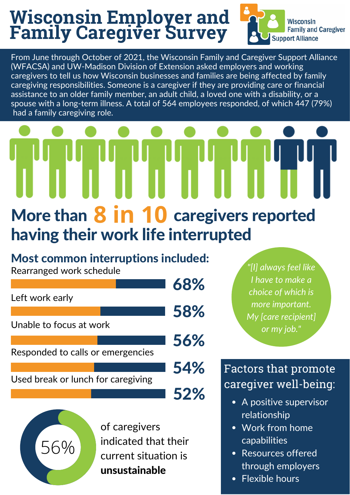## **Wisconsin Employer and Family Caregiver Survey**



From June through October of 2021, the Wisconsin Family and Caregiver Support Alliance (WFACSA) and UW-Madison Division of Extension asked employers and working caregivers to tell us how Wisconsin businesses and families are being affected by family caregiving responsibilities. Someone is a caregiver if they are providing care or financial assistance to an older family member, an adult child, a loved one with a disability, or a spouse with a long-term illness. A total of 564 employees responded, of which 447 (79%) had a family caregiving role.

# More than  $8$  in 10 caregivers reported having their work life interrupted

#### Most common interruptions included:

Rearranged work schedule

56%

|                                    |  | 68% |
|------------------------------------|--|-----|
| Left work early                    |  |     |
|                                    |  | 58% |
| Unable to focus at work            |  |     |
|                                    |  | 56% |
| Responded to calls or emergencies  |  |     |
|                                    |  | 54% |
| Used break or lunch for caregiving |  |     |
|                                    |  | 52% |

of caregivers indicated that their current situation is unsustainable

*"[I] always feel like I have to make a choice of which is more important. My [care recipient] or my job."*

### Factors that promote caregiver well-being:

- A positive supervisor relationship
- Work from home capabilities
- Resources offered through employers
- Flexible hours